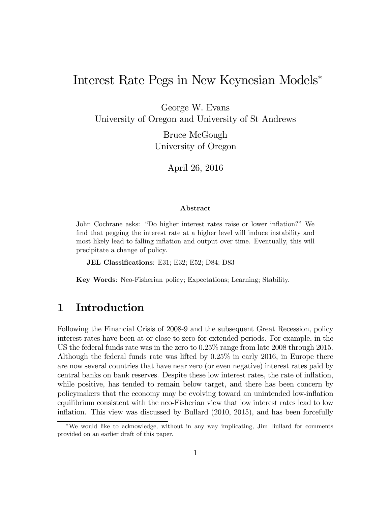# Interest Rate Pegs in New Keynesian Models<sup>∗</sup>

George W. Evans University of Oregon and University of St Andrews

> Bruce McGough University of Oregon

> > April 26, 2016

#### Abstract

John Cochrane asks: "Do higher interest rates raise or lower inflation?" We find that pegging the interest rate at a higher level will induce instability and most likely lead to falling inflation and output over time. Eventually, this will precipitate a change of policy.

JEL Classifications: E31; E32; E52; D84; D83

Key Words: Neo-Fisherian policy; Expectations; Learning; Stability.

#### 1 Introduction

Following the Financial Crisis of 2008-9 and the subsequent Great Recession, policy interest rates have been at or close to zero for extended periods. For example, in the US the federal funds rate was in the zero to 0.25% range from late 2008 through 2015. Although the federal funds rate was lifted by 0.25% in early 2016, in Europe there are now several countries that have near zero (or even negative) interest rates paid by central banks on bank reserves. Despite these low interest rates, the rate of inflation, while positive, has tended to remain below target, and there has been concern by policymakers that the economy may be evolving toward an unintended low-inflation equilibrium consistent with the neo-Fisherian view that low interest rates lead to low inflation. This view was discussed by Bullard (2010, 2015), and has been forcefully

<sup>∗</sup>We would like to acknowledge, without in any way implicating, Jim Bullard for comments provided on an earlier draft of this paper.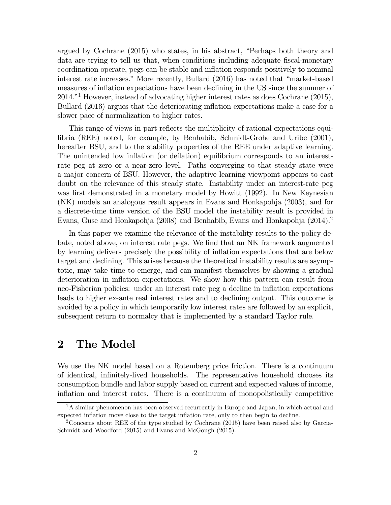argued by Cochrane (2015) who states, in his abstract, "Perhaps both theory and data are trying to tell us that, when conditions including adequate fiscal-monetary coordination operate, pegs can be stable and inflation responds positively to nominal interest rate increases." More recently, Bullard (2016) has noted that "market-based measures of inflation expectations have been declining in the US since the summer of 2014."1 However, instead of advocating higher interest rates as does Cochrane (2015), Bullard (2016) argues that the deteriorating inflation expectations make a case for a slower pace of normalization to higher rates.

This range of views in part reflects the multiplicity of rational expectations equilibria (REE) noted, for example, by Benhabib, Schmidt-Grohe and Uribe (2001), hereafter BSU, and to the stability properties of the REE under adaptive learning. The unintended low inflation (or deflation) equilibrium corresponds to an interestrate peg at zero or a near-zero level. Paths converging to that steady state were a major concern of BSU. However, the adaptive learning viewpoint appears to cast doubt on the relevance of this steady state. Instability under an interest-rate peg was first demonstrated in a monetary model by Howitt (1992). In New Keynesian (NK) models an analogous result appears in Evans and Honkapohja (2003), and for a discrete-time time version of the BSU model the instability result is provided in Evans, Guse and Honkapohja (2008) and Benhabib, Evans and Honkapohja (2014).<sup>2</sup>

In this paper we examine the relevance of the instability results to the policy debate, noted above, on interest rate pegs. We find that an NK framework augmented by learning delivers precisely the possibility of inflation expectations that are below target and declining. This arises because the theoretical instability results are asymptotic, may take time to emerge, and can manifest themselves by showing a gradual deterioration in inflation expectations. We show how this pattern can result from neo-Fisherian policies: under an interest rate peg a decline in inflation expectations leads to higher ex-ante real interest rates and to declining output. This outcome is avoided by a policy in which temporarily low interest rates are followed by an explicit, subsequent return to normalcy that is implemented by a standard Taylor rule.

## 2 The Model

We use the NK model based on a Rotemberg price friction. There is a continuum of identical, infinitely-lived households. The representative household chooses its consumption bundle and labor supply based on current and expected values of income, inflation and interest rates. There is a continuum of monopolistically competitive

<sup>&</sup>lt;sup>1</sup>A similar phenomenon has been observed recurrently in Europe and Japan, in which actual and expected inflation move close to the target inflation rate, only to then begin to decline.

<sup>2</sup>Concerns about REE of the type studied by Cochrane (2015) have been raised also by Garcia-Schmidt and Woodford (2015) and Evans and McGough (2015).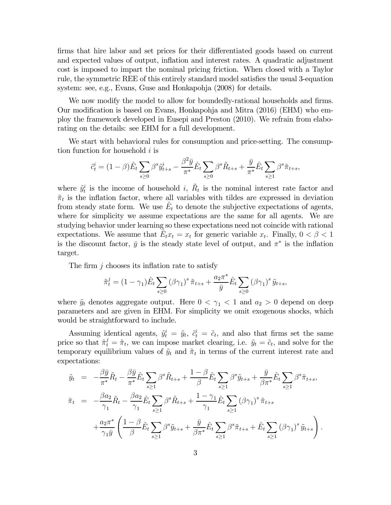firms that hire labor and set prices for their differentiated goods based on current and expected values of output, inflation and interest rates. A quadratic adjustment cost is imposed to impart the nominal pricing friction. When closed with a Taylor rule, the symmetric REE of this entirely standard model satisfies the usual 3-equation system: see, e.g., Evans, Guse and Honkapohja (2008) for details.

We now modify the model to allow for boundedly-rational households and firms. Our modification is based on Evans, Honkapohja and Mitra (2016) (EHM) who employ the framework developed in Eusepi and Preston (2010). We refrain from elaborating on the details: see EHM for a full development.

We start with behavioral rules for consumption and price-setting. The consumption function for household  $i$  is

$$
\tilde{c}_t^i = (1 - \beta)\hat{E}_t \sum_{s \ge 0} \beta^s \tilde{y}_{t+s}^i - \frac{\beta^2 \bar{y}}{\pi^*} \hat{E}_t \sum_{s \ge 0} \beta^s \tilde{R}_{t+s} + \frac{\bar{y}}{\pi^*} \hat{E}_t \sum_{s \ge 1} \beta^s \tilde{\pi}_{t+s},
$$

where  $\tilde{y}_t^i$  is the income of household i,  $\tilde{R}_t$  is the nominal interest rate factor and  $\tilde{\pi}_t$  is the inflation factor, where all variables with tildes are expressed in deviation from steady state form. We use  $E_t$  to denote the subjective expectations of agents, where for simplicity we assume expectations are the same for all agents. We are studying behavior under learning so these expectations need not coincide with rational expectations. We assume that  $E_t x_t = x_t$  for generic variable  $x_t$ . Finally,  $0 < \beta < 1$ is the discount factor,  $\bar{y}$  is the steady state level of output, and  $\pi^*$  is the inflation target.

The firm  $j$  chooses its inflation rate to satisfy

$$
\tilde{\pi}_t^j = (1 - \gamma_1) \hat{E}_t \sum_{s \ge 0} (\beta \gamma_1)^s \tilde{\pi}_{t+s} + \frac{a_2 \pi^*}{\bar{y}} \hat{E}_t \sum_{s \ge 0} (\beta \gamma_1)^s \tilde{y}_{t+s},
$$

where  $\tilde{y}_t$  denotes aggregate output. Here  $0 < \gamma_1 < 1$  and  $a_2 > 0$  depend on deep parameters and are given in EHM. For simplicity we omit exogenous shocks, which would be straightforward to include.

Assuming identical agents,  $\tilde{y}_t^i = \tilde{y}_t$ ,  $\tilde{c}_t^i = \tilde{c}_t$ , and also that firms set the same price so that  $\tilde{\pi}_t^j = \tilde{\pi}_t$ , we can impose market clearing, i.e.  $\tilde{y}_t = \tilde{c}_t$ , and solve for the temporary equilibrium values of  $\tilde{y}_t$  and  $\tilde{\pi}_t$  in terms of the current interest rate and expectations:

$$
\tilde{y}_t = -\frac{\beta \bar{y}}{\pi^*} \tilde{R}_t - \frac{\beta \bar{y}}{\pi^*} \hat{E}_t \sum_{s \ge 1} \beta^s \tilde{R}_{t+s} + \frac{1-\beta}{\beta} \hat{E}_t \sum_{s \ge 1} \beta^s \tilde{y}_{t+s} + \frac{\bar{y}}{\beta \pi^*} \hat{E}_t \sum_{s \ge 1} \beta^s \tilde{\pi}_{t+s},
$$
  

$$
\tilde{\pi}_t = -\frac{\beta a_2}{\gamma_1} \tilde{R}_t - \frac{\beta a_2}{\gamma_1} \hat{E}_t \sum_{s \ge 1} \beta^s \tilde{R}_{t+s} + \frac{1-\gamma_1}{\gamma_1} \hat{E}_t \sum_{s \ge 1} (\beta \gamma_1)^s \tilde{\pi}_{t+s}
$$
  

$$
+ \frac{a_2 \pi^*}{\gamma_1 \bar{y}} \left( \frac{1-\beta}{\beta} \hat{E}_t \sum_{s \ge 1} \beta^s \tilde{y}_{t+s} + \frac{\bar{y}}{\beta \pi^*} \hat{E}_t \sum_{s \ge 1} \beta^s \tilde{\pi}_{t+s} + \hat{E}_t \sum_{s \ge 1} (\beta \gamma_1)^s \tilde{y}_{t+s} \right).
$$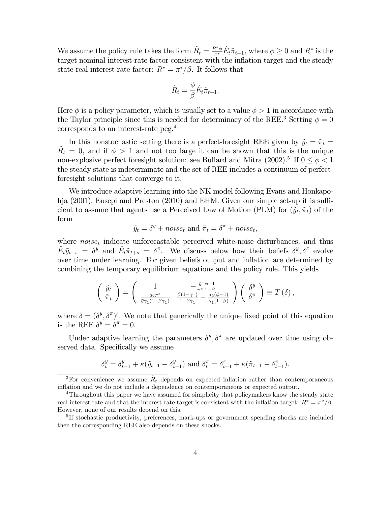We assume the policy rule takes the form  $\tilde{R}_t = \frac{R^* \phi}{\pi^*} \hat{E}_t \tilde{\pi}_{t+1}$ , where  $\phi \geq 0$  and  $R^*$  is the target nominal interest-rate factor consistent with the inflation target and the steady state real interest-rate factor:  $R^* = \pi^*/\beta$ . It follows that

$$
\tilde{R}_t = \frac{\phi}{\beta} \hat{E}_t \tilde{\pi}_{t+1}.
$$

Here  $\phi$  is a policy parameter, which is usually set to a value  $\phi > 1$  in accordance with the Taylor principle since this is needed for determinacy of the REE.<sup>3</sup> Setting  $\phi = 0$ corresponds to an interest-rate peg.4

In this nonstochastic setting there is a perfect-foresight REE given by  $\tilde{y}_t = \tilde{\pi}_t =$  $\tilde{R}_t = 0$ , and if  $\phi > 1$  and not too large it can be shown that this is the unique non-explosive perfect foresight solution: see Bullard and Mitra (2002).<sup>5</sup> If  $0 \le \phi < 1$ the steady state is indeterminate and the set of REE includes a continuum of perfectforesight solutions that converge to it.

We introduce adaptive learning into the NK model following Evans and Honkapohja (2001), Eusepi and Preston (2010) and EHM. Given our simple set-up it is sufficient to assume that agents use a Perceived Law of Motion (PLM) for  $(\tilde{y}_t, \tilde{\pi}_t)$  of the form

$$
\tilde{y}_t = \delta^y + noise_t
$$
 and  $\tilde{\pi}_t = \delta^{\pi} + noise_t$ ,

where  $noise<sub>t</sub>$  indicate unforecastable perceived white-noise disturbances, and thus  $\hat{E}_t \tilde{y}_{t+s} = \delta^y$  and  $\hat{E}_t \tilde{\pi}_{t+s} = \delta^{\pi}$ . We discuss below how their beliefs  $\delta^y, \delta^{\pi}$  evolve over time under learning. For given beliefs output and inflation are determined by combining the temporary equilibrium equations and the policy rule. This yields

$$
\begin{pmatrix}\n\tilde{y}_t \\
\tilde{\pi}_t\n\end{pmatrix} = \begin{pmatrix}\n1 & -\frac{\bar{y}}{\pi^*} \frac{\phi - 1}{1 - \beta} \\
\frac{a_2 \pi^*}{\bar{y} \gamma_1 (1 - \beta \gamma_1)} & \frac{\beta (1 - \gamma_1)}{1 - \beta \gamma_1} - \frac{a_2 (\phi - 1)}{\gamma_1 (1 - \beta)}\n\end{pmatrix} \begin{pmatrix}\n\delta^y \\
\delta^{\pi}\n\end{pmatrix} \equiv T(\delta),
$$

where  $\delta = (\delta^y, \delta^{\pi})'$ . We note that generically the unique fixed point of this equation is the REE  $\delta^y = \delta^{\pi} = 0$ .

Under adaptive learning the parameters  $\delta^y$ ,  $\delta^{\pi}$  are updated over time using observed data. Specifically we assume

$$
\delta_t^y = \delta_{t-1}^y + \kappa(\tilde{y}_{t-1} - \delta_{t-1}^y) \text{ and } \delta_t^{\pi} = \delta_{t-1}^{\pi} + \kappa(\tilde{\pi}_{t-1} - \delta_{t-1}^{\pi}).
$$

<sup>&</sup>lt;sup>3</sup>For convenience we assume  $\tilde{R}_t$  depends on expected inflation rather than contemporaneous inflation and we do not include a dependence on contemporaneous or expected output.

<sup>&</sup>lt;sup>4</sup>Throughout this paper we have assumed for simplicity that policymakers know the steady state real interest rate and that the interest-rate target is consistent with the inflation target:  $R^* = \pi^*/\beta$ . However, none of our results depend on this.

<sup>&</sup>lt;sup>5</sup>If stochastic productivity, preferences, mark-ups or government spending shocks are included then the corresponding REE also depends on these shocks.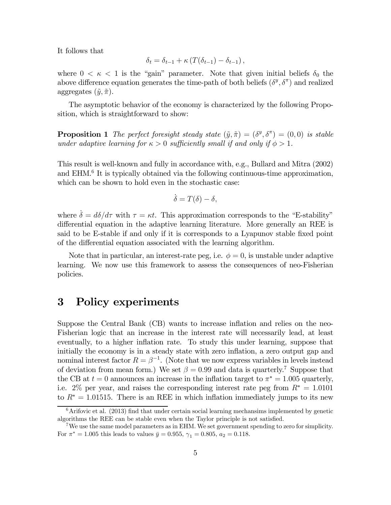It follows that

$$
\delta_t = \delta_{t-1} + \kappa \left( T(\delta_{t-1}) - \delta_{t-1} \right),
$$

where  $0 < \kappa < 1$  is the "gain" parameter. Note that given initial beliefs  $\delta_0$  the above difference equation generates the time-path of both beliefs  $(\delta^y, \delta^{\pi})$  and realized aggregates  $(\tilde{y}, \tilde{\pi})$ .

The asymptotic behavior of the economy is characterized by the following Proposition, which is straightforward to show:

**Proposition 1** The perfect foresight steady state  $(\tilde{y}, \tilde{\pi}) = (\delta^y, \delta^{\pi}) = (0, 0)$  is stable under adaptive learning for  $\kappa > 0$  sufficiently small if and only if  $\phi > 1$ .

This result is well-known and fully in accordance with, e.g., Bullard and Mitra (2002) and EHM.<sup>6</sup> It is typically obtained via the following continuous-time approximation, which can be shown to hold even in the stochastic case:

$$
\dot{\delta} = T(\delta) - \delta,
$$

where  $\dot{\delta} = d\delta/d\tau$  with  $\tau = \kappa t$ . This approximation corresponds to the "E-stability" differential equation in the adaptive learning literature. More generally an REE is said to be E-stable if and only if it is corresponds to a Lyapunov stable fixed point of the differential equation associated with the learning algorithm.

Note that in particular, an interest-rate peg, i.e.  $\phi = 0$ , is unstable under adaptive learning. We now use this framework to assess the consequences of neo-Fisherian policies.

#### 3 Policy experiments

Suppose the Central Bank (CB) wants to increase inflation and relies on the neo-Fisherian logic that an increase in the interest rate will necessarily lead, at least eventually, to a higher inflation rate. To study this under learning, suppose that initially the economy is in a steady state with zero inflation, a zero output gap and nominal interest factor  $R = \beta^{-1}$ . (Note that we now express variables in levels instead of deviation from mean form.) We set  $\beta = 0.99$  and data is quarterly.<sup>7</sup> Suppose that the CB at  $t = 0$  announces an increase in the inflation target to  $\pi^* = 1.005$  quarterly, i.e. 2% per year, and raises the corresponding interest rate peg from  $R^* = 1.0101$ to  $R^* = 1.01515$ . There is an REE in which inflation immediately jumps to its new

 $6$ Arifovic et al. (2013) find that under certain social learning mechansims implemented by genetic algorithms the REE can be stable even when the Taylor principle is not satisfied.

<sup>&</sup>lt;sup>7</sup>We use the same model parameters as in EHM. We set government spending to zero for simplicity. For  $\pi^* = 1.005$  this leads to values  $\bar{y} = 0.955$ ,  $\gamma_1 = 0.805$ ,  $a_2 = 0.118$ .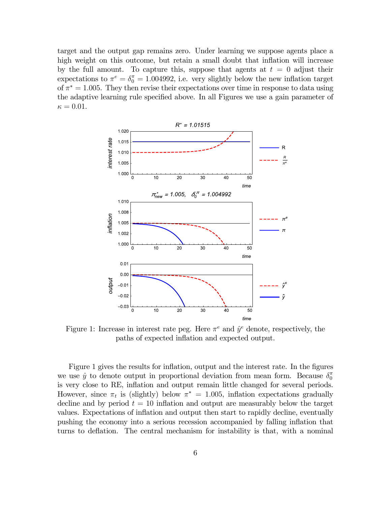target and the output gap remains zero. Under learning we suppose agents place a high weight on this outcome, but retain a small doubt that inflation will increase by the full amount. To capture this, suppose that agents at  $t = 0$  adjust their expectations to  $\pi^e = \delta_0^{\pi} = 1.004992$ , i.e. very slightly below the new inflation target of  $\pi^* = 1.005$ . They then revise their expectations over time in response to data using the adaptive learning rule specified above. In all Figures we use a gain parameter of  $\kappa = 0.01$ .



Figure 1: Increase in interest rate peg. Here  $\pi^e$  and  $\hat{y}^e$  denote, respectively, the paths of expected inflation and expected output.

Figure 1 gives the results for inflation, output and the interest rate. In the figures we use  $\hat{y}$  to denote output in proportional deviation from mean form. Because  $\delta_0^{\pi}$ is very close to RE, inflation and output remain little changed for several periods. However, since  $\pi_t$  is (slightly) below  $\pi^* = 1.005$ , inflation expectations gradually decline and by period  $t = 10$  inflation and output are measurably below the target values. Expectations of inflation and output then start to rapidly decline, eventually pushing the economy into a serious recession accompanied by falling inflation that turns to deflation. The central mechanism for instability is that, with a nominal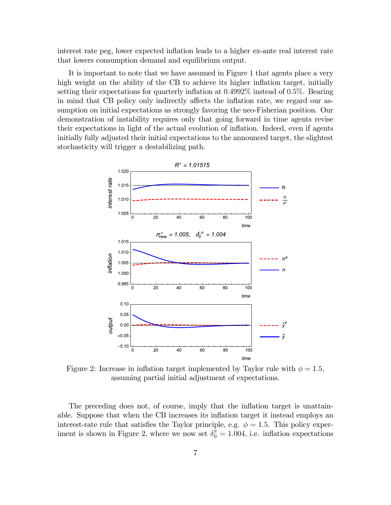interest rate peg, lower expected inflation leads to a higher ex-ante real interest rate that lowers consumption demand and equilibrium output.

It is important to note that we have assumed in Figure 1 that agents place a very high weight on the ability of the CB to achieve its higher inflation target, initially setting their expectations for quarterly inflation at 04992% instead of 05%. Bearing in mind that CB policy only indirectly affects the inflation rate, we regard our assumption on initial expectations as strongly favoring the neo-Fisherian position. Our demonstration of instability requires only that going forward in time agents revise their expectations in light of the actual evolution of inflation. Indeed, even if agents initially fully adjusted their initial expectations to the announced target, the slightest stochasticity will trigger a destabilizing path.



Figure 2: Increase in inflation target implemented by Taylor rule with  $\phi = 1.5$ , assuming partial initial adjustment of expectations.

The preceding does not, of course, imply that the inflation target is unattainable. Suppose that when the CB increases its inflation target it instead employs an interest-rate rule that satisfies the Taylor principle, e.g.  $\phi = 1.5$ . This policy experiment is shown in Figure 2, where we now set  $\delta_0^{\pi} = 1.004$ , i.e. inflation expectations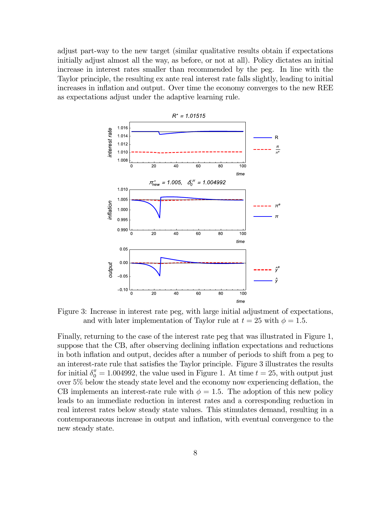adjust part-way to the new target (similar qualitative results obtain if expectations initially adjust almost all the way, as before, or not at all). Policy dictates an initial increase in interest rates smaller than recommended by the peg. In line with the Taylor principle, the resulting ex ante real interest rate falls slightly, leading to initial increases in inflation and output. Over time the economy converges to the new REE as expectations adjust under the adaptive learning rule.



Figure 3: Increase in interest rate peg, with large initial adjustment of expectations, and with later implementation of Taylor rule at  $t = 25$  with  $\phi = 1.5$ .

Finally, returning to the case of the interest rate peg that was illustrated in Figure 1, suppose that the CB, after observing declining inflation expectations and reductions in both inflation and output, decides after a number of periods to shift from a peg to an interest-rate rule that satisfies the Taylor principle. Figure 3 illustrates the results for initial  $\delta_0^{\pi} = 1.004992$ , the value used in Figure 1. At time  $t = 25$ , with output just over 5% below the steady state level and the economy now experiencing deflation, the CB implements an interest-rate rule with  $\phi = 1.5$ . The adoption of this new policy leads to an immediate reduction in interest rates and a corresponding reduction in real interest rates below steady state values. This stimulates demand, resulting in a contemporaneous increase in output and inflation, with eventual convergence to the new steady state.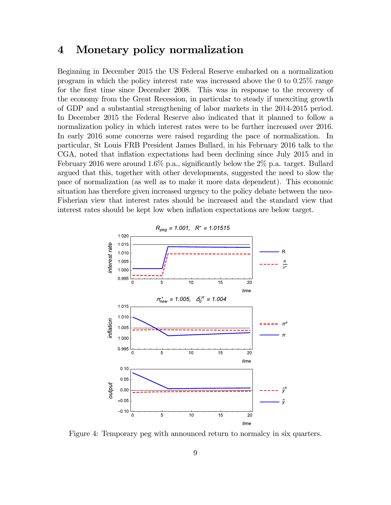### 4 Monetary policy normalization

Beginning in December 2015 the US Federal Reserve embarked on a normalization program in which the policy interest rate was increased above the 0 to 025% range for the first time since December 2008. This was in response to the recovery of the economy from the Great Recession, in particular to steady if unexciting growth of GDP and a substantial strengthening of labor markets in the 2014-2015 period. In December 2015 the Federal Reserve also indicated that it planned to follow a normalization policy in which interest rates were to be further increased over 2016. In early 2016 some concerns were raised regarding the pace of normalization. In particular, St Louis FRB President James Bullard, in his February 2016 talk to the CGA, noted that inflation expectations had been declining since July 2015 and in February 2016 were around 1.6% p.a., significantly below the  $2\%$  p.a. target. Bullard argued that this, together with other developments, suggested the need to slow the pace of normalization (as well as to make it more data dependent). This economic situation has therefore given increased urgency to the policy debate between the neo-Fisherian view that interest rates should be increased and the standard view that interest rates should be kept low when inflation expectations are below target.



Figure 4: Temporary peg with announced return to normalcy in six quarters.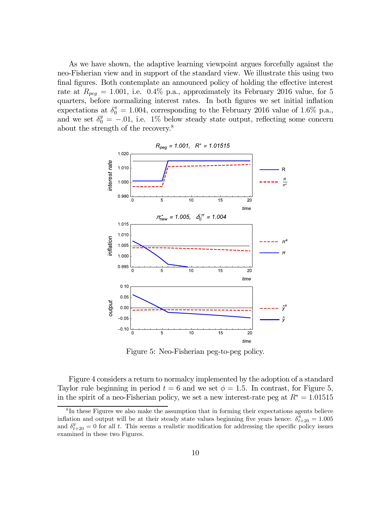As we have shown, the adaptive learning viewpoint argues forcefully against the neo-Fisherian view and in support of the standard view. We illustrate this using two final figures. Both contemplate an announced policy of holding the effective interest rate at  $R_{peq} = 1.001$ , i.e. 0.4% p.a., approximately its February 2016 value, for 5 quarters, before normalizing interest rates. In both figures we set initial inflation expectations at  $\delta_0^{\pi} = 1.004$ , corresponding to the February 2016 value of 1.6% p.a., and we set  $\delta_0^y = -.01$ , i.e. 1% below steady state output, reflecting some concern about the strength of the recovery.8



Figure 5: Neo-Fisherian peg-to-peg policy.

Figure 4 considers a return to normalcy implemented by the adoption of a standard Taylor rule beginning in period  $t = 6$  and we set  $\phi = 1.5$ . In contrast, for Figure 5, in the spirit of a neo-Fisherian policy, we set a new interest-rate peg at  $R^* = 1.01515$ 

<sup>&</sup>lt;sup>8</sup>In these Figures we also make the assumption that in forming their expectations agents believe inflation and output will be at their steady state values beginning five years hence:  $\delta_{t+20}^{\pi} = 1.005$ and  $\delta_{t+20}^y = 0$  for all t. This seems a realistic modification for addressing the specific policy issues examined in these two Figures.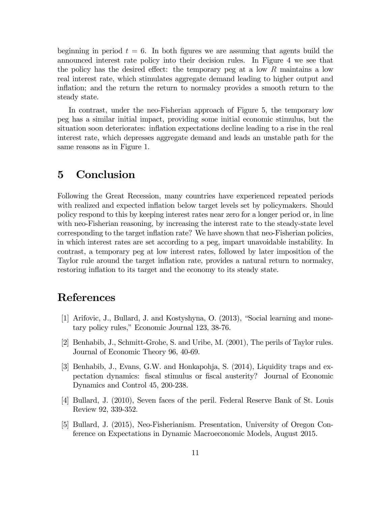beginning in period  $t = 6$ . In both figures we are assuming that agents build the announced interest rate policy into their decision rules. In Figure 4 we see that the policy has the desired effect: the temporary peg at a low  $R$  maintains a low real interest rate, which stimulates aggregate demand leading to higher output and inflation; and the return the return to normalcy provides a smooth return to the steady state.

In contrast, under the neo-Fisherian approach of Figure 5, the temporary low peg has a similar initial impact, providing some initial economic stimulus, but the situation soon deteriorates: inflation expectations decline leading to a rise in the real interest rate, which depresses aggregate demand and leads an unstable path for the same reasons as in Figure 1.

#### 5 Conclusion

Following the Great Recession, many countries have experienced repeated periods with realized and expected inflation below target levels set by policymakers. Should policy respond to this by keeping interest rates near zero for a longer period or, in line with neo-Fisherian reasoning, by increasing the interest rate to the steady-state level corresponding to the target inflation rate? We have shown that neo-Fisherian policies, in which interest rates are set according to a peg, impart unavoidable instability. In contrast, a temporary peg at low interest rates, followed by later imposition of the Taylor rule around the target inflation rate, provides a natural return to normalcy, restoring inflation to its target and the economy to its steady state.

# References

- [1] Arifovic, J., Bullard, J. and Kostyshyna, O. (2013), "Social learning and monetary policy rules," Economic Journal 123, 38-76.
- [2] Benhabib, J., Schmitt-Grohe, S. and Uribe, M. (2001), The perils of Taylor rules. Journal of Economic Theory 96, 40-69.
- [3] Benhabib, J., Evans, G.W. and Honkapohja, S. (2014), Liquidity traps and expectation dynamics: fiscal stimulus or fiscal austerity? Journal of Economic Dynamics and Control 45, 200-238.
- [4] Bullard, J. (2010), Seven faces of the peril. Federal Reserve Bank of St. Louis Review 92, 339-352.
- [5] Bullard, J. (2015), Neo-Fisherianism. Presentation, University of Oregon Conference on Expectations in Dynamic Macroeconomic Models, August 2015.